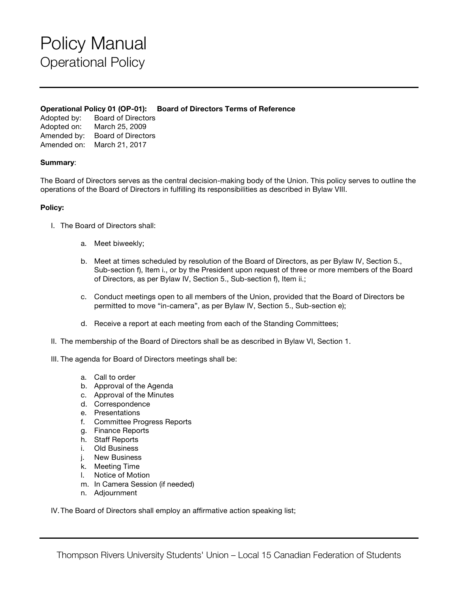## Policy Manual Operational Policy

### **Operational Policy 01 (OP-01): Board of Directors Terms of Reference**

Adopted by: Board of Directors Adopted on: March 25, 2009 Amended by: Board of Directors Amended on: March 21, 2017

### **Summary**:

The Board of Directors serves as the central decision-making body of the Union. This policy serves to outline the operations of the Board of Directors in fulfilling its responsibilities as described in Bylaw VIII.

### **Policy:**

- I. The Board of Directors shall:
	- a. Meet biweekly;
	- b. Meet at times scheduled by resolution of the Board of Directors, as per Bylaw IV, Section 5., Sub-section f), Item i., or by the President upon request of three or more members of the Board of Directors, as per Bylaw IV, Section 5., Sub-section f), Item ii.;
	- c. Conduct meetings open to all members of the Union, provided that the Board of Directors be permitted to move "in-camera", as per Bylaw IV, Section 5., Sub-section e);
	- d. Receive a report at each meeting from each of the Standing Committees;
- II. The membership of the Board of Directors shall be as described in Bylaw VI, Section 1.
- III. The agenda for Board of Directors meetings shall be:
	- a. Call to order
	- b. Approval of the Agenda
	- c. Approval of the Minutes
	- d. Correspondence
	- e. Presentations
	- f. Committee Progress Reports
	- g. Finance Reports
	- h. Staff Reports
	- i. Old Business
	- j. New Business
	- k. Meeting Time
	- l. Notice of Motion
	- m. In Camera Session (if needed)
	- n. Adjournment

IV.The Board of Directors shall employ an affirmative action speaking list;